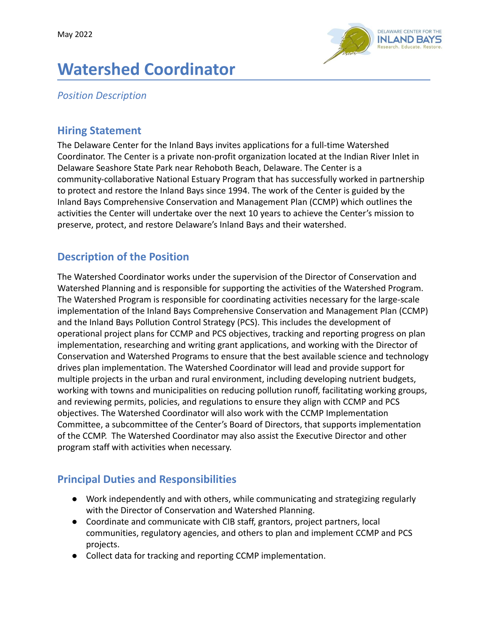

# **Watershed Coordinator**

*Position Description*

#### **Hiring Statement**

The Delaware Center for the Inland Bays invites applications for a full-time Watershed Coordinator. The Center is a private non-profit organization located at the Indian River Inlet in Delaware Seashore State Park near Rehoboth Beach, Delaware. The Center is a community-collaborative National Estuary Program that has successfully worked in partnership to protect and restore the Inland Bays since 1994. The work of the Center is guided by the Inland Bays Comprehensive Conservation and Management Plan (CCMP) which outlines the activities the Center will undertake over the next 10 years to achieve the Center's mission to preserve, protect, and restore Delaware's Inland Bays and their watershed.

## **Description of the Position**

The Watershed Coordinator works under the supervision of the Director of Conservation and Watershed Planning and is responsible for supporting the activities of the Watershed Program. The Watershed Program is responsible for coordinating activities necessary for the large-scale implementation of the Inland Bays Comprehensive Conservation and Management Plan (CCMP) and the Inland Bays Pollution Control Strategy (PCS). This includes the development of operational project plans for CCMP and PCS objectives, tracking and reporting progress on plan implementation, researching and writing grant applications, and working with the Director of Conservation and Watershed Programs to ensure that the best available science and technology drives plan implementation. The Watershed Coordinator will lead and provide support for multiple projects in the urban and rural environment, including developing nutrient budgets, working with towns and municipalities on reducing pollution runoff, facilitating working groups, and reviewing permits, policies, and regulations to ensure they align with CCMP and PCS objectives. The Watershed Coordinator will also work with the CCMP Implementation Committee, a subcommittee of the Center's Board of Directors, that supports implementation of the CCMP. The Watershed Coordinator may also assist the Executive Director and other program staff with activities when necessary.

## **Principal Duties and Responsibilities**

- Work independently and with others, while communicating and strategizing regularly with the Director of Conservation and Watershed Planning.
- Coordinate and communicate with CIB staff, grantors, project partners, local communities, regulatory agencies, and others to plan and implement CCMP and PCS projects.
- Collect data for tracking and reporting CCMP implementation.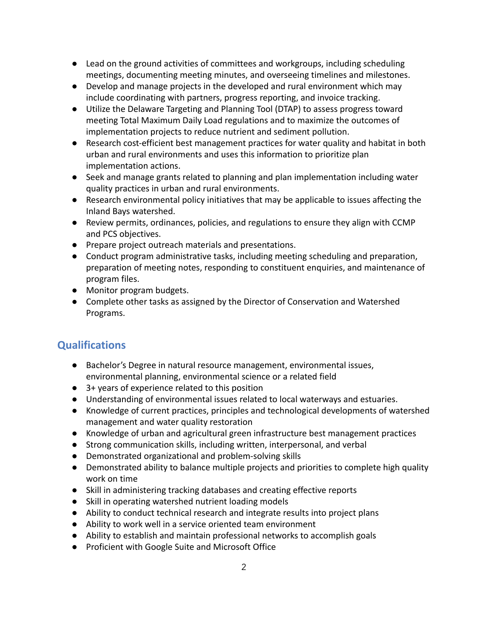- Lead on the ground activities of committees and workgroups, including scheduling meetings, documenting meeting minutes, and overseeing timelines and milestones.
- Develop and manage projects in the developed and rural environment which may include coordinating with partners, progress reporting, and invoice tracking.
- Utilize the Delaware Targeting and Planning Tool (DTAP) to assess progress toward meeting Total Maximum Daily Load regulations and to maximize the outcomes of implementation projects to reduce nutrient and sediment pollution.
- Research cost-efficient best management practices for water quality and habitat in both urban and rural environments and uses this information to prioritize plan implementation actions.
- Seek and manage grants related to planning and plan implementation including water quality practices in urban and rural environments.
- Research environmental policy initiatives that may be applicable to issues affecting the Inland Bays watershed.
- Review permits, ordinances, policies, and regulations to ensure they align with CCMP and PCS objectives.
- Prepare project outreach materials and presentations.
- Conduct program administrative tasks, including meeting scheduling and preparation, preparation of meeting notes, responding to constituent enquiries, and maintenance of program files.
- Monitor program budgets.
- Complete other tasks as assigned by the Director of Conservation and Watershed Programs.

## **Qualifications**

- Bachelor's Degree in natural resource management, environmental issues, environmental planning, environmental science or a related field
- 3+ years of experience related to this position
- Understanding of environmental issues related to local waterways and estuaries.
- Knowledge of current practices, principles and technological developments of watershed management and water quality restoration
- Knowledge of urban and agricultural green infrastructure best management practices
- Strong communication skills, including written, interpersonal, and verbal
- Demonstrated organizational and problem-solving skills
- Demonstrated ability to balance multiple projects and priorities to complete high quality work on time
- Skill in administering tracking databases and creating effective reports
- Skill in operating watershed nutrient loading models
- Ability to conduct technical research and integrate results into project plans
- Ability to work well in a service oriented team environment
- Ability to establish and maintain professional networks to accomplish goals
- Proficient with Google Suite and Microsoft Office